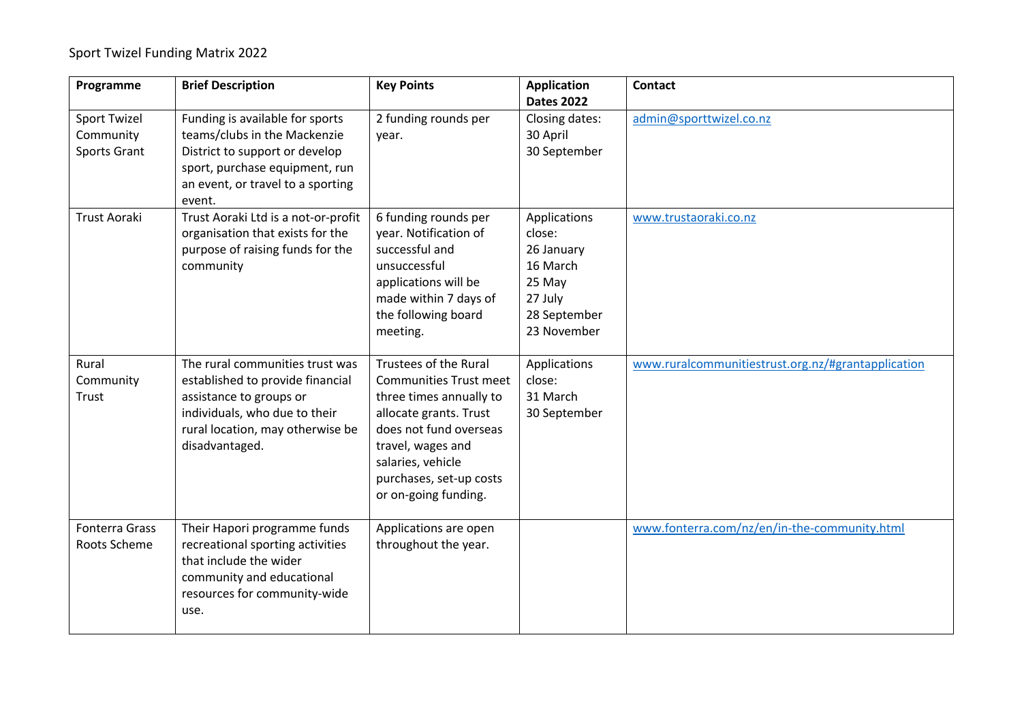## Sport Twizel Funding Matrix 2022

| Programme                                        | <b>Brief Description</b>                                                                                                                                                              | <b>Key Points</b>                                                                                                                                                                                                                         | <b>Application</b><br><b>Dates 2022</b>                                                              | <b>Contact</b>                                     |
|--------------------------------------------------|---------------------------------------------------------------------------------------------------------------------------------------------------------------------------------------|-------------------------------------------------------------------------------------------------------------------------------------------------------------------------------------------------------------------------------------------|------------------------------------------------------------------------------------------------------|----------------------------------------------------|
| <b>Sport Twizel</b><br>Community<br>Sports Grant | Funding is available for sports<br>teams/clubs in the Mackenzie<br>District to support or develop<br>sport, purchase equipment, run<br>an event, or travel to a sporting<br>event.    | 2 funding rounds per<br>year.                                                                                                                                                                                                             | Closing dates:<br>30 April<br>30 September                                                           | admin@sporttwizel.co.nz                            |
| <b>Trust Aoraki</b>                              | Trust Aoraki Ltd is a not-or-profit<br>organisation that exists for the<br>purpose of raising funds for the<br>community                                                              | 6 funding rounds per<br>year. Notification of<br>successful and<br>unsuccessful<br>applications will be<br>made within 7 days of<br>the following board<br>meeting.                                                                       | Applications<br>close:<br>26 January<br>16 March<br>25 May<br>27 July<br>28 September<br>23 November | www.trustaoraki.co.nz                              |
| Rural<br>Community<br>Trust                      | The rural communities trust was<br>established to provide financial<br>assistance to groups or<br>individuals, who due to their<br>rural location, may otherwise be<br>disadvantaged. | <b>Trustees of the Rural</b><br><b>Communities Trust meet</b><br>three times annually to<br>allocate grants. Trust<br>does not fund overseas<br>travel, wages and<br>salaries, vehicle<br>purchases, set-up costs<br>or on-going funding. | Applications<br>close:<br>31 March<br>30 September                                                   | www.ruralcommunitiestrust.org.nz/#grantapplication |
| <b>Fonterra Grass</b><br>Roots Scheme            | Their Hapori programme funds<br>recreational sporting activities<br>that include the wider<br>community and educational<br>resources for community-wide<br>use.                       | Applications are open<br>throughout the year.                                                                                                                                                                                             |                                                                                                      | www.fonterra.com/nz/en/in-the-community.html       |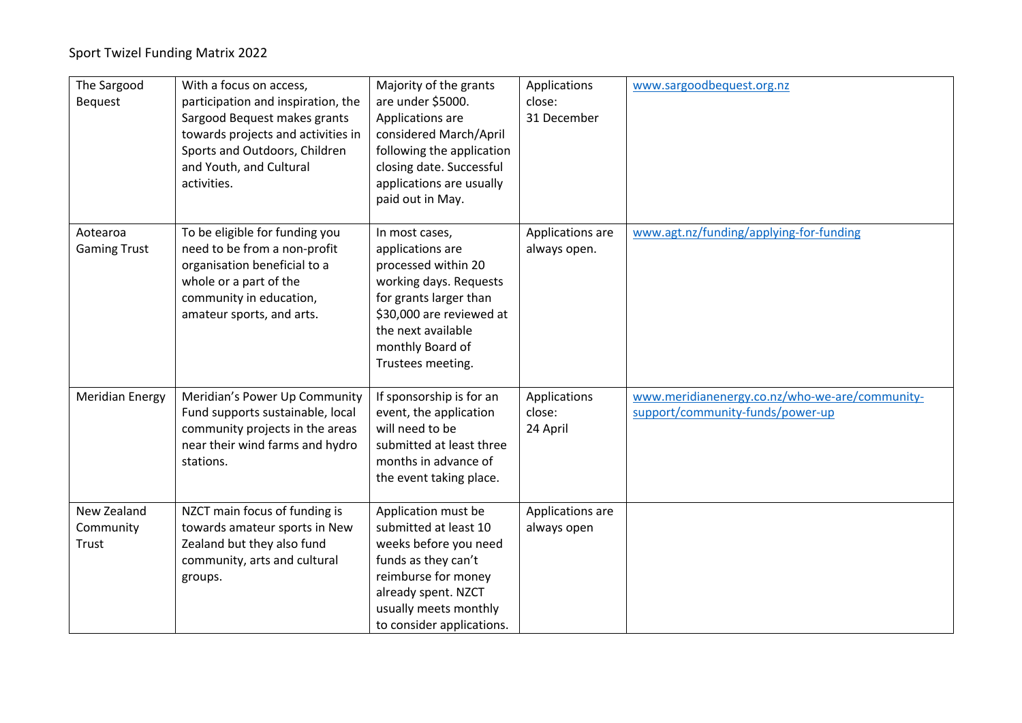## Sport Twizel Funding Matrix 2022

| The Sargood<br><b>Bequest</b>     | With a focus on access,<br>participation and inspiration, the<br>Sargood Bequest makes grants<br>towards projects and activities in<br>Sports and Outdoors, Children<br>and Youth, and Cultural<br>activities. | Majority of the grants<br>are under \$5000.<br>Applications are<br>considered March/April<br>following the application<br>closing date. Successful<br>applications are usually<br>paid out in May.       | Applications<br>close:<br>31 December | www.sargoodbequest.org.nz                                                          |
|-----------------------------------|----------------------------------------------------------------------------------------------------------------------------------------------------------------------------------------------------------------|----------------------------------------------------------------------------------------------------------------------------------------------------------------------------------------------------------|---------------------------------------|------------------------------------------------------------------------------------|
| Aotearoa<br><b>Gaming Trust</b>   | To be eligible for funding you<br>need to be from a non-profit<br>organisation beneficial to a<br>whole or a part of the<br>community in education,<br>amateur sports, and arts.                               | In most cases,<br>applications are<br>processed within 20<br>working days. Requests<br>for grants larger than<br>\$30,000 are reviewed at<br>the next available<br>monthly Board of<br>Trustees meeting. | Applications are<br>always open.      | www.agt.nz/funding/applying-for-funding                                            |
| <b>Meridian Energy</b>            | Meridian's Power Up Community<br>Fund supports sustainable, local<br>community projects in the areas<br>near their wind farms and hydro<br>stations.                                                           | If sponsorship is for an<br>event, the application<br>will need to be<br>submitted at least three<br>months in advance of<br>the event taking place.                                                     | Applications<br>close:<br>24 April    | www.meridianenergy.co.nz/who-we-are/community-<br>support/community-funds/power-up |
| New Zealand<br>Community<br>Trust | NZCT main focus of funding is<br>towards amateur sports in New<br>Zealand but they also fund<br>community, arts and cultural<br>groups.                                                                        | Application must be<br>submitted at least 10<br>weeks before you need<br>funds as they can't<br>reimburse for money<br>already spent. NZCT<br>usually meets monthly<br>to consider applications.         | Applications are<br>always open       |                                                                                    |